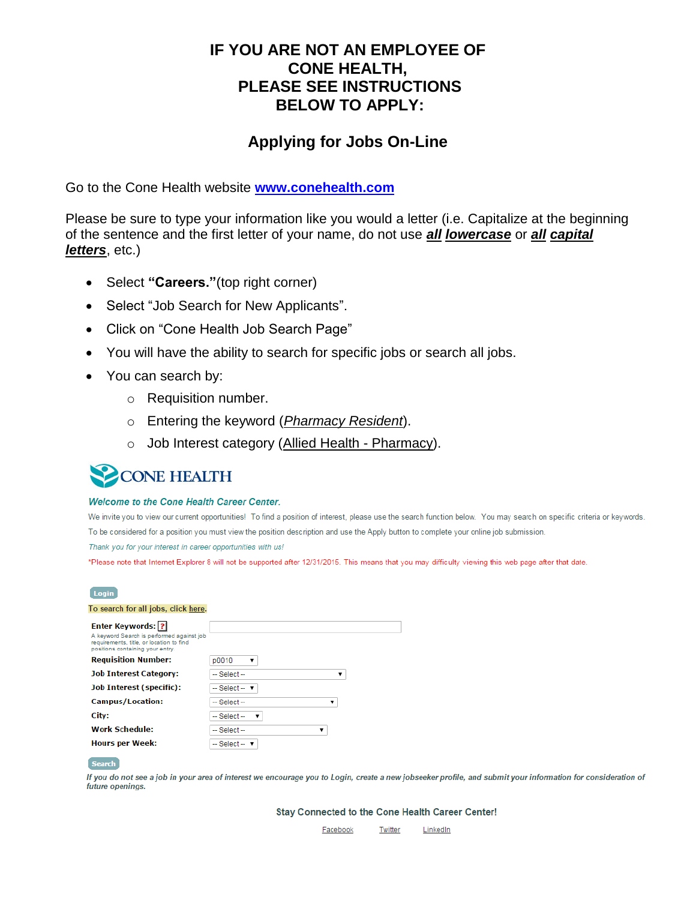## **IF YOU ARE NOT AN EMPLOYEE OF CONE HEALTH, PLEASE SEE INSTRUCTIONS BELOW TO APPLY:**

## **Applying for Jobs On-Line**

Go to the Cone Health website **[www.conehealth.com](http://www.conehealth.com/)**

Please be sure to type your information like you would a letter (i.e. Capitalize at the beginning of the sentence and the first letter of your name, do not use *all lowercase* or *all capital letters*, etc.)

- Select "Careers."(top right corner)
- Select "Job Search for New Applicants".
- Click on "Cone Health Job Search Page"
- You will have the ability to search for specific jobs or search all jobs.
- You can search by:
	- o Requisition number.
	- o Entering the keyword (*Pharmacy Resident*).
	- o Job Interest category (Allied Health Pharmacy).

# **CONE HEALTH**

### Welcome to the Cone Health Career Center.

We invite you to view our current opportunities! To find a position of interest, please use the search function below. You may search on specific criteria or keywords. To be considered for a position you must view the position description and use the Apply button to complete your online job submission.

Thank you for your interest in career opportunities with us!

\*Please note that Internet Explorer 8 will not be supported after 12/31/2015. This means that you may difficulty viewing this web page after that date.

| Login                                                                        |                                  |
|------------------------------------------------------------------------------|----------------------------------|
| To search for all jobs, click here.                                          |                                  |
| <b>Enter Keywords: 2</b><br>A keyword Search is performed against job        |                                  |
| requirements, title, or location to find<br>positions containing your entry. |                                  |
| <b>Requisition Number:</b>                                                   | p0010<br>▼                       |
| <b>Job Interest Category:</b>                                                | $-$ Select $-$                   |
| <b>Job Interest (specific):</b>                                              | -- Select -- v                   |
| <b>Campus/Location:</b>                                                      | $-$ Select $-$<br>▼              |
| City:                                                                        | $-$ Select $-$                   |
| <b>Work Schedule:</b>                                                        | $-$ Select $-$<br>▼              |
| Hours per Week:                                                              | $-$ Select $ \blacktriangledown$ |
|                                                                              |                                  |

#### **Search**

If you do not see a job in your area of interest we encourage you to Login, create a new jobseeker profile, and submit your information for consideration of future openings.

Stay Connected to the Cone Health Career Center!

Facebook Twitter LinkedIn